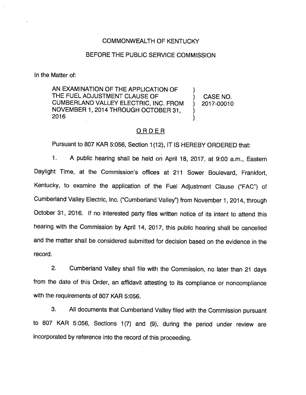### COMMONWEALTH OF KENTUCKY

## BEFORE THE PUBLIC SERVICE COMMISSION

In the Matter of:

AN EXAMINATION OF THE APPLICATION OF THE FUEL ADJUSTMENT CLAUSE OF ) CASE NO. CUMBERLAND VALLEY ELECTRIC, INC. FROM ) 2017-00010 NOVEMBER 1, 2014 THROUGH OCTOBER 31, 2016

## ORDER

Pursuant to 807 KAR 5:056, Section 1(12), IT IS HEREBY ORDERED that:

1. A public hearing shall be held on April 18, 2017, at 9:00 a.m.. Eastern Daylight Time, at the Commission's offices at 211 Sower Boulevard, Frankfort, Kentucky, to examine the application of the Fuel Adjustment Clause ("FAC") of Cumberland Valley Electric, Inc. ("Cumberland Valley") from November 1, 2014, through October 31, 2016. If no interested party files written notice of its intent to attend this hearing with the Commission by April 14, 2017, this public hearing shall be cancelled and the matter shall be considered submitted for decision based on the evidence in the record.

2. Cumberland Valley shall file with the Commission, no later than 21 days from the date of this Order, an affidavit attesting to its compliance or noncompliance with the requirements of 807 KAR 5:056.

3. All documents that Cumberland Valley filed with the Commission pursuant to 807 KAR 5:056, Sections 1(7) and (9), during the period under review are incorporated by reference into the record of this proceeding.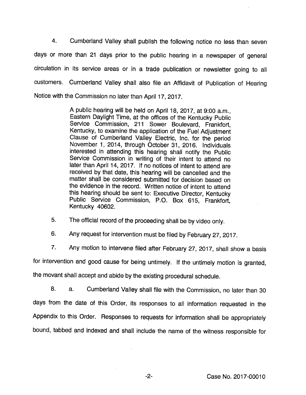4. Cumberland Valley shall publish the following notice no less than seven days or more than 21 days prior to the public hearing in a newspaper of general circulation in its service areas or in a trade publication or newsletter going to all customers. Cumberland Valley shall also file an Affidavit of Publication of Hearing Notice with the Commission no later than April 17, 2017.

> A public hearing will be held on April 18, 2017, at 9:00 a.m.. Eastern Daylight Time, at the offices of the Kentucky Public Service Commission, 211 Sower Boulevard, Frankfort, Kentucky, to examine the application of the Fuel Adjustment Clause of Cumberland Valley Electric, Inc. for the period November 1, 2014, through October 31, 2016. Individuals interested in attending this hearing shall notify the Public Service Commission in writing of their intent to attend no later than April 14, 2017. If no notices of intent to attend are received by that date, this hearing will be cancelled and the matter shall be considered submitted for decision based on the evidence in the record. Written notice of intent to attend this hearing should be sent to: Executive Director, Kentucky Public Service Commission, P.O. Box 615, Frankfort, Kentucky 40602.

5. The official record of the proceeding shall be by video only.

6. Any request for intervention must be filed by February 27, 2017.

7. Any motion to intervene filed after February 27, 2017, shall show a basis

for intervention and good cause for being untimely. If the untimely motion is granted,

the movant shall accept and abide by the existing procedural schedule.

8. a. Cumberland Valley shall file with the Commission, no later than 30 days from the date of this Order, its responses to all information requested in the Appendix to this Order. Responses to requests for information shall be appropriately bound, tabbed and indexed and shall include the name of the witness responsible for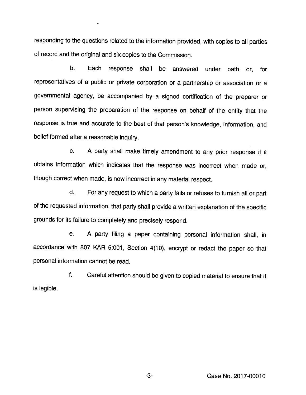responding to the questions related to the information provided, with copies to all parties of record and the original and six copies to the Commission.

b. Each response shall be answered under oath or, for representatives of a public or private corporation or a partnership or association or a governmental agency, be accompanied by a signed certification of the preparer or person supervising the preparation of the response on behalf of the entity that the response is true and accurate to the best of that person's knowledge, information, and belief formed after a reasonable inquiry.

c. A party shall make timely amendment to any prior response if it obtains information which indicates that the response was incorrect when made or, though correct when made, is now incorrect in anymaterial respect.

d. For any request to which a party fails or refuses to furnish all or part of the requested information, that party shall provide a written explanation of the specific grounds for its failure to completely and precisely respond.

e. A party filing a paper containing personal information shall, in accordance with 807 KAR 5:001, Section 4(10), encrypt or redact the paper so that personal information cannot be read.

f. Careful attention should be given to copied material to ensure that it is legible.

-3- Case No. 2017-00010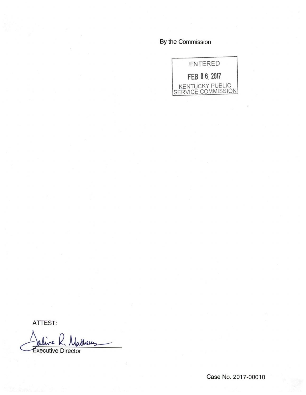By the Commission



ATTEST;

 $\mathbf{z}$ Them —'Executive Director

Case No. 2017-00010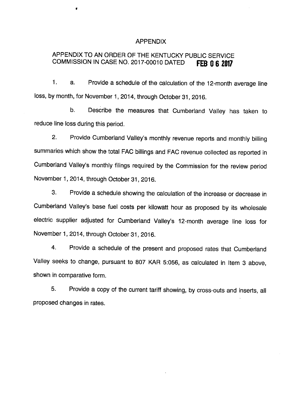### APPENDIX

# APPENDIX TO AN ORDER OF THE KENTUCKY PUBLIC SERVICE COMMISSION IN CASE NO. 2017-00010 DATED FEB 0 6 2017

1. a. Provide a schedule of the calculation of the 12-month average line loss, by month, for November 1, 2014, through October 31, 2016.

b. Describe the measures that Cumberland Valley has taken to reduce line loss during this period.

2. Provide Cumberland Valley's monthly revenue reports and monthly billing summaries which show the total FAC billings and FAC revenue collected as reported in Cumberland Valley's monthly filings required by the Commission for the review period November 1, 2014, through October 31, 2016.

3. Provide a schedule showing the calculation of the increase or decrease in Cumberland Valley's base fuel costs per kilowatt hour as proposed by its wholesale electric supplier adjusted for Cumberland Valley's 12-month average line loss for November 1, 2014, through October 31, 2016.

4. Provide a schedule of the present and proposed rates that Cumberland Valley seeks to change, pursuant to 807 KAR 5:056, as calculated in Item 3 above, shown in comparative form.

5. Provide a copy of the current tariff showing, by cross-outs and inserts, all proposed changes in rates.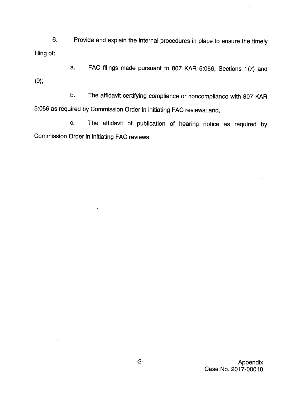6. Provide and explain the internal procedures in place to ensure the timely filing of:

a. FAC filings made pursuant to 807 KAR 5:056, Sections 1(7) and (9):

b. The affidavit certifying compliance or noncompiiance with 807 KAR 5:056 as required by Commission Order in initiating FAC reviews; and,

c. The affidavit of publication of hearing notice as required by Commission Order in initiating FAC reviews.

 $\ddot{\phantom{0}}$ 

 $\ddot{\phantom{0}}$